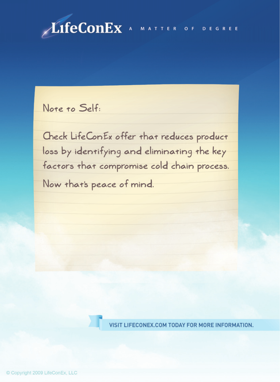

Note to Self:

Check LifeConEx offer that reduces product loss by identifying and eliminating the key factors that compromise cold chain process.

Now that's peace of mind.

VISIT LIFECONEX.COM TODAY FOR MORE INFORMATION.